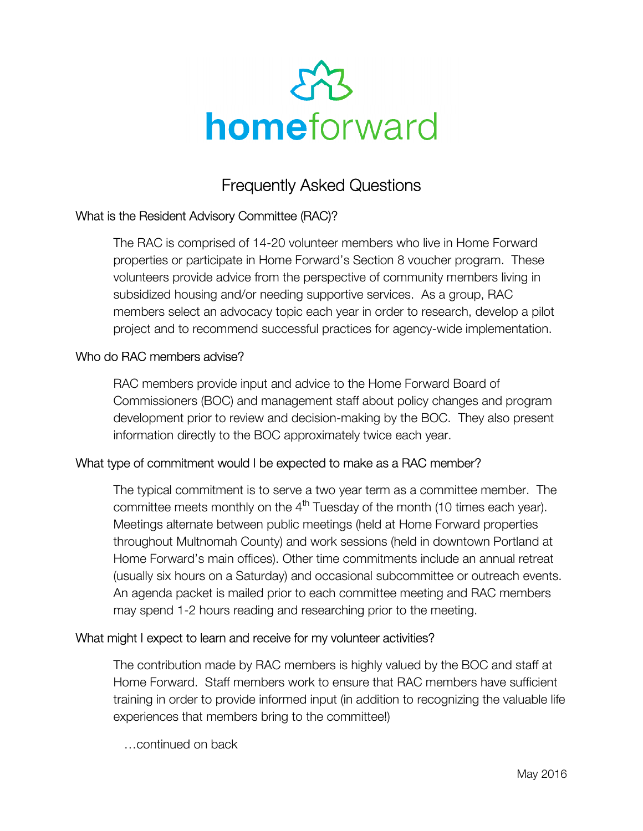

# Frequently Asked Questions

## What is the Resident Advisory Committee (RAC)?

The RAC is comprised of 14-20 volunteer members who live in Home Forward properties or participate in Home Forward's Section 8 voucher program. These volunteers provide advice from the perspective of community members living in subsidized housing and/or needing supportive services. As a group, RAC members select an advocacy topic each year in order to research, develop a pilot project and to recommend successful practices for agency-wide implementation.

#### Who do RAC members advise?

RAC members provide input and advice to the Home Forward Board of Commissioners (BOC) and management staff about policy changes and program development prior to review and decision-making by the BOC. They also present information directly to the BOC approximately twice each year.

## What type of commitment would I be expected to make as a RAC member?

The typical commitment is to serve a two year term as a committee member. The committee meets monthly on the  $4<sup>th</sup>$  Tuesday of the month (10 times each year). Meetings alternate between public meetings (held at Home Forward properties throughout Multnomah County) and work sessions (held in downtown Portland at Home Forward's main offices). Other time commitments include an annual retreat (usually six hours on a Saturday) and occasional subcommittee or outreach events. An agenda packet is mailed prior to each committee meeting and RAC members may spend 1-2 hours reading and researching prior to the meeting.

#### What might I expect to learn and receive for my volunteer activities?

The contribution made by RAC members is highly valued by the BOC and staff at Home Forward. Staff members work to ensure that RAC members have sufficient training in order to provide informed input (in addition to recognizing the valuable life experiences that members bring to the committee!)

…continued on back